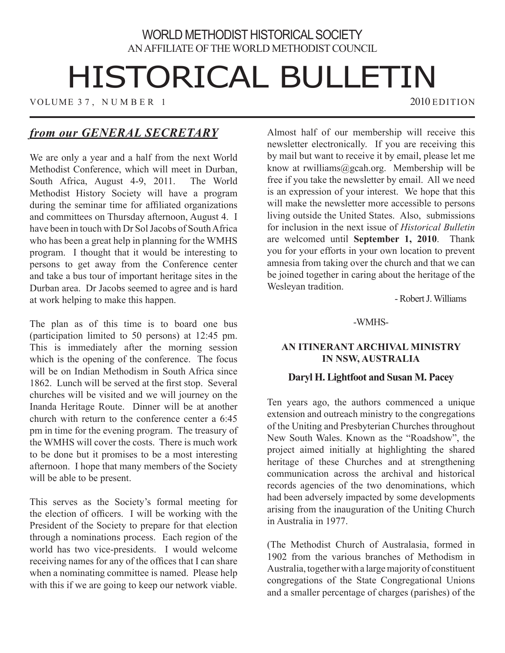# WORLD METHODIST HISTORICAL SOCIETY AN AFFILIATE OF THE WORLD METHODIST COUNCIL

# HISTORICAL BULLETIN

VOLUME 37, NUMBER 1 2010 EDITION

# *from our GENERAL SECRETARY*

We are only a year and a half from the next World Methodist Conference, which will meet in Durban, South Africa, August 4-9, 2011. The World Methodist History Society will have a program during the seminar time for affiliated organizations and committees on Thursday afternoon, August 4. I have been in touch with Dr Sol Jacobs of South Africa who has been a great help in planning for the WMHS program. I thought that it would be interesting to persons to get away from the Conference center and take a bus tour of important heritage sites in the Durban area. Dr Jacobs seemed to agree and is hard at work helping to make this happen.

The plan as of this time is to board one bus (participation limited to 50 persons) at 12:45 pm. This is immediately after the morning session which is the opening of the conference. The focus will be on Indian Methodism in South Africa since 1862. Lunch will be served at the first stop. Several churches will be visited and we will journey on the Inanda Heritage Route. Dinner will be at another church with return to the conference center a 6:45 pm in time for the evening program. The treasury of the WMHS will cover the costs. There is much work to be done but it promises to be a most interesting afternoon. I hope that many members of the Society will be able to be present.

This serves as the Society's formal meeting for the election of officers. I will be working with the President of the Society to prepare for that election through a nominations process. Each region of the world has two vice-presidents. I would welcome receiving names for any of the offices that I can share when a nominating committee is named. Please help with this if we are going to keep our network viable. Almost half of our membership will receive this newsletter electronically. If you are receiving this by mail but want to receive it by email, please let me know at rwilliams@gcah.org. Membership will be free if you take the newsletter by email. All we need is an expression of your interest. We hope that this will make the newsletter more accessible to persons living outside the United States. Also, submissions for inclusion in the next issue of *Historical Bulletin* are welcomed until **September 1, 2010**. Thank you for your efforts in your own location to prevent amnesia from taking over the church and that we can be joined together in caring about the heritage of the Wesleyan tradition.

- Robert J. Williams

-WMHS-

# **AN ITINERANT ARCHIVAL MINISTRY IN NSW, AUSTRALIA**

# **Daryl H. Lightfoot and Susan M. Pacey**

Ten years ago, the authors commenced a unique extension and outreach ministry to the congregations of the Uniting and Presbyterian Churches throughout New South Wales. Known as the "Roadshow", the project aimed initially at highlighting the shared heritage of these Churches and at strengthening communication across the archival and historical records agencies of the two denominations, which had been adversely impacted by some developments arising from the inauguration of the Uniting Church in Australia in 1977.

(The Methodist Church of Australasia, formed in 1902 from the various branches of Methodism in Australia, together with a large majority of constituent congregations of the State Congregational Unions and a smaller percentage of charges (parishes) of the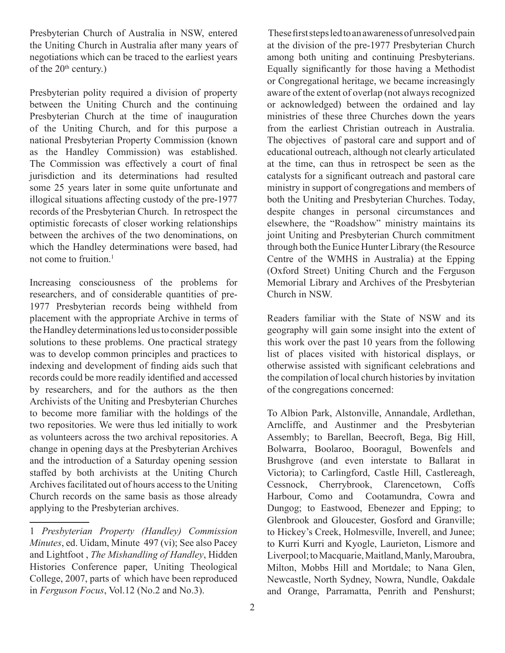Presbyterian Church of Australia in NSW, entered the Uniting Church in Australia after many years of negotiations which can be traced to the earliest years of the  $20<sup>th</sup>$  century.)

Presbyterian polity required a division of property between the Uniting Church and the continuing Presbyterian Church at the time of inauguration of the Uniting Church, and for this purpose a national Presbyterian Property Commission (known as the Handley Commission) was established. The Commission was effectively a court of final jurisdiction and its determinations had resulted some 25 years later in some quite unfortunate and illogical situations affecting custody of the pre-1977 records of the Presbyterian Church. In retrospect the optimistic forecasts of closer working relationships between the archives of the two denominations, on which the Handley determinations were based, had not come to fruition.<sup>1</sup>

Increasing consciousness of the problems for researchers, and of considerable quantities of pre-1977 Presbyterian records being withheld from placement with the appropriate Archive in terms of the Handley determinations led us to consider possible solutions to these problems. One practical strategy was to develop common principles and practices to indexing and development of finding aids such that records could be more readily identified and accessed by researchers, and for the authors as the then Archivists of the Uniting and Presbyterian Churches to become more familiar with the holdings of the two repositories. We were thus led initially to work as volunteers across the two archival repositories. A change in opening days at the Presbyterian Archives and the introduction of a Saturday opening session staffed by both archivists at the Uniting Church Archives facilitated out of hours access to the Uniting Church records on the same basis as those already applying to the Presbyterian archives.

 These first steps led to an awareness of unresolved pain at the division of the pre-1977 Presbyterian Church among both uniting and continuing Presbyterians. Equally significantly for those having a Methodist or Congregational heritage, we became increasingly aware of the extent of overlap (not always recognized or acknowledged) between the ordained and lay ministries of these three Churches down the years from the earliest Christian outreach in Australia. The objectives of pastoral care and support and of educational outreach, although not clearly articulated at the time, can thus in retrospect be seen as the catalysts for a significant outreach and pastoral care ministry in support of congregations and members of both the Uniting and Presbyterian Churches. Today, despite changes in personal circumstances and elsewhere, the "Roadshow" ministry maintains its joint Uniting and Presbyterian Church commitment through both the Eunice Hunter Library (the Resource Centre of the WMHS in Australia) at the Epping (Oxford Street) Uniting Church and the Ferguson Memorial Library and Archives of the Presbyterian Church in NSW.

Readers familiar with the State of NSW and its geography will gain some insight into the extent of this work over the past 10 years from the following list of places visited with historical displays, or otherwise assisted with significant celebrations and the compilation of local church histories by invitation of the congregations concerned:

To Albion Park, Alstonville, Annandale, Ardlethan, Arncliffe, and Austinmer and the Presbyterian Assembly; to Barellan, Beecroft, Bega, Big Hill, Bolwarra, Boolaroo, Booragul, Bowenfels and Brushgrove (and even interstate to Ballarat in Victoria); to Carlingford, Castle Hill, Castlereagh, Cessnock, Cherrybrook, Clarencetown, Coffs Harbour, Como and Cootamundra, Cowra and Dungog; to Eastwood, Ebenezer and Epping; to Glenbrook and Gloucester, Gosford and Granville; to Hickey's Creek, Holmesville, Inverell, and Junee; to Kurri Kurri and Kyogle, Laurieton, Lismore and Liverpool; to Macquarie, Maitland, Manly, Maroubra, Milton, Mobbs Hill and Mortdale; to Nana Glen, Newcastle, North Sydney, Nowra, Nundle, Oakdale and Orange, Parramatta, Penrith and Penshurst;

<sup>1</sup> *Presbyterian Property (Handley) Commission Minutes*, ed. Uidam, Minute 497 (vi); See also Pacey and Lightfoot , *The Mishandling of Handley*, Hidden Histories Conference paper, Uniting Theological College, 2007, parts of which have been reproduced in *Ferguson Focus*, Vol.12 (No.2 and No.3).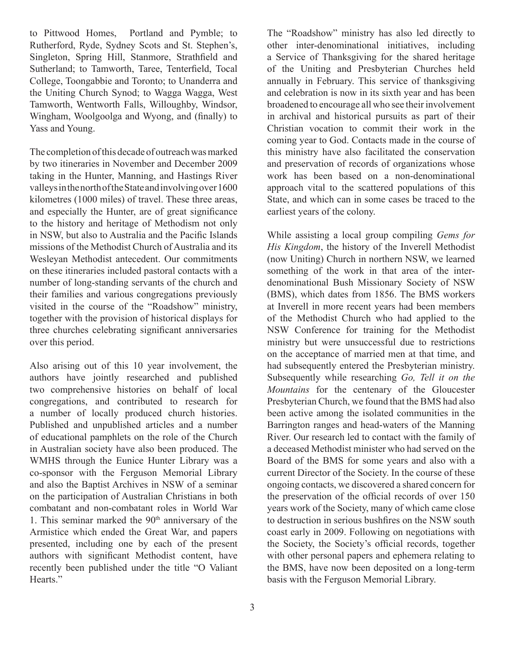to Pittwood Homes, Portland and Pymble; to Rutherford, Ryde, Sydney Scots and St. Stephen's, Singleton, Spring Hill, Stanmore, Strathfield and Sutherland; to Tamworth, Taree, Tenterfield, Tocal College, Toongabbie and Toronto; to Unanderra and the Uniting Church Synod; to Wagga Wagga, West Tamworth, Wentworth Falls, Willoughby, Windsor, Wingham, Woolgoolga and Wyong, and (finally) to Yass and Young.

The completion of this decade of outreach was marked by two itineraries in November and December 2009 taking in the Hunter, Manning, and Hastings River valleys in the north of the State and involving over 1600 kilometres (1000 miles) of travel. These three areas, and especially the Hunter, are of great significance to the history and heritage of Methodism not only in NSW, but also to Australia and the Pacific Islands missions of the Methodist Church of Australia and its Wesleyan Methodist antecedent. Our commitments on these itineraries included pastoral contacts with a number of long-standing servants of the church and their families and various congregations previously visited in the course of the "Roadshow" ministry, together with the provision of historical displays for three churches celebrating significant anniversaries over this period.

Also arising out of this 10 year involvement, the authors have jointly researched and published two comprehensive histories on behalf of local congregations, and contributed to research for a number of locally produced church histories. Published and unpublished articles and a number of educational pamphlets on the role of the Church in Australian society have also been produced. The WMHS through the Eunice Hunter Library was a co-sponsor with the Ferguson Memorial Library and also the Baptist Archives in NSW of a seminar on the participation of Australian Christians in both combatant and non-combatant roles in World War 1. This seminar marked the  $90<sup>th</sup>$  anniversary of the Armistice which ended the Great War, and papers presented, including one by each of the present authors with significant Methodist content, have recently been published under the title "O Valiant Hearts."

The "Roadshow" ministry has also led directly to other inter-denominational initiatives, including a Service of Thanksgiving for the shared heritage of the Uniting and Presbyterian Churches held annually in February. This service of thanksgiving and celebration is now in its sixth year and has been broadened to encourage all who see their involvement in archival and historical pursuits as part of their Christian vocation to commit their work in the coming year to God. Contacts made in the course of this ministry have also facilitated the conservation and preservation of records of organizations whose work has been based on a non-denominational approach vital to the scattered populations of this State, and which can in some cases be traced to the earliest years of the colony.

While assisting a local group compiling *Gems for His Kingdom*, the history of the Inverell Methodist (now Uniting) Church in northern NSW, we learned something of the work in that area of the interdenominational Bush Missionary Society of NSW (BMS), which dates from 1856. The BMS workers at Inverell in more recent years had been members of the Methodist Church who had applied to the NSW Conference for training for the Methodist ministry but were unsuccessful due to restrictions on the acceptance of married men at that time, and had subsequently entered the Presbyterian ministry. Subsequently while researching *Go, Tell it on the Mountains* for the centenary of the Gloucester Presbyterian Church, we found that the BMS had also been active among the isolated communities in the Barrington ranges and head-waters of the Manning River. Our research led to contact with the family of a deceased Methodist minister who had served on the Board of the BMS for some years and also with a current Director of the Society. In the course of these ongoing contacts, we discovered a shared concern for the preservation of the official records of over 150 years work of the Society, many of which came close to destruction in serious bushfires on the NSW south coast early in 2009. Following on negotiations with the Society, the Society's official records, together with other personal papers and ephemera relating to the BMS, have now been deposited on a long-term basis with the Ferguson Memorial Library.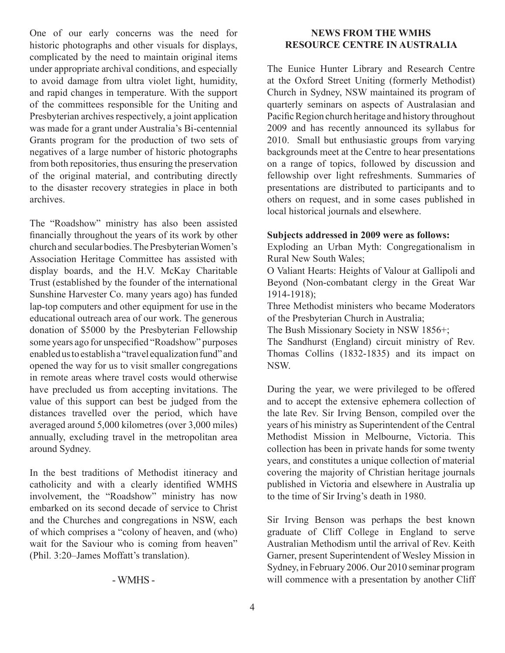One of our early concerns was the need for historic photographs and other visuals for displays, complicated by the need to maintain original items under appropriate archival conditions, and especially to avoid damage from ultra violet light, humidity, and rapid changes in temperature. With the support of the committees responsible for the Uniting and Presbyterian archives respectively, a joint application was made for a grant under Australia's Bi-centennial Grants program for the production of two sets of negatives of a large number of historic photographs from both repositories, thus ensuring the preservation of the original material, and contributing directly to the disaster recovery strategies in place in both archives.

The "Roadshow" ministry has also been assisted financially throughout the years of its work by other church and secular bodies. The Presbyterian Women's Association Heritage Committee has assisted with display boards, and the H.V. McKay Charitable Trust (established by the founder of the international Sunshine Harvester Co. many years ago) has funded lap-top computers and other equipment for use in the educational outreach area of our work. The generous donation of \$5000 by the Presbyterian Fellowship some years ago for unspecified "Roadshow" purposes enabled us to establish a "travel equalization fund" and opened the way for us to visit smaller congregations in remote areas where travel costs would otherwise have precluded us from accepting invitations. The value of this support can best be judged from the distances travelled over the period, which have averaged around 5,000 kilometres (over 3,000 miles) annually, excluding travel in the metropolitan area around Sydney.

In the best traditions of Methodist itineracy and catholicity and with a clearly identified WMHS involvement, the "Roadshow" ministry has now embarked on its second decade of service to Christ and the Churches and congregations in NSW, each of which comprises a "colony of heaven, and (who) wait for the Saviour who is coming from heaven" (Phil. 3:20–James Moffatt's translation).

## - WMHS -

## **NEWS FROM THE WMHS RESOURCE CENTRE IN AUSTRALIA**

The Eunice Hunter Library and Research Centre at the Oxford Street Uniting (formerly Methodist) Church in Sydney, NSW maintained its program of quarterly seminars on aspects of Australasian and Pacific Region church heritage and history throughout 2009 and has recently announced its syllabus for 2010. Small but enthusiastic groups from varying backgrounds meet at the Centre to hear presentations on a range of topics, followed by discussion and fellowship over light refreshments. Summaries of presentations are distributed to participants and to others on request, and in some cases published in local historical journals and elsewhere.

# **Subjects addressed in 2009 were as follows:**

Exploding an Urban Myth: Congregationalism in Rural New South Wales;

O Valiant Hearts: Heights of Valour at Gallipoli and Beyond (Non-combatant clergy in the Great War 1914-1918);

Three Methodist ministers who became Moderators of the Presbyterian Church in Australia;

The Bush Missionary Society in NSW 1856+;

The Sandhurst (England) circuit ministry of Rev. Thomas Collins (1832-1835) and its impact on NSW.

During the year, we were privileged to be offered and to accept the extensive ephemera collection of the late Rev. Sir Irving Benson, compiled over the years of his ministry as Superintendent of the Central Methodist Mission in Melbourne, Victoria. This collection has been in private hands for some twenty years, and constitutes a unique collection of material covering the majority of Christian heritage journals published in Victoria and elsewhere in Australia up to the time of Sir Irving's death in 1980.

Sir Irving Benson was perhaps the best known graduate of Cliff College in England to serve Australian Methodism until the arrival of Rev. Keith Garner, present Superintendent of Wesley Mission in Sydney, in February 2006. Our 2010 seminar program will commence with a presentation by another Cliff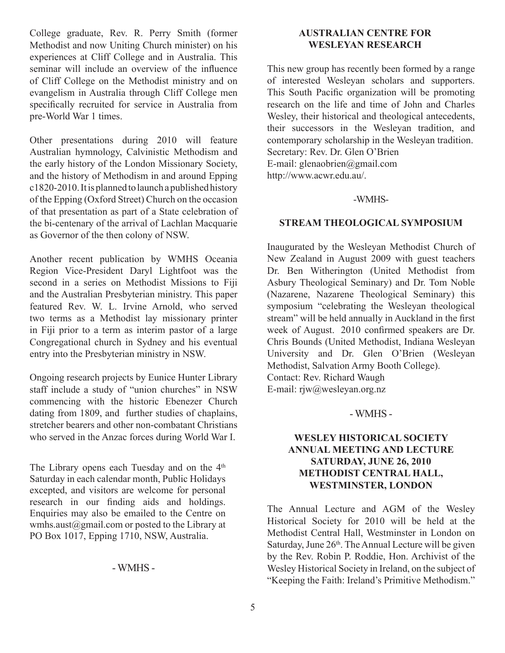College graduate, Rev. R. Perry Smith (former Methodist and now Uniting Church minister) on his experiences at Cliff College and in Australia. This seminar will include an overview of the influence of Cliff College on the Methodist ministry and on evangelism in Australia through Cliff College men specifically recruited for service in Australia from pre-World War 1 times.

Other presentations during 2010 will feature Australian hymnology, Calvinistic Methodism and the early history of the London Missionary Society, and the history of Methodism in and around Epping c1820-2010. It is planned to launch a published history of the Epping (Oxford Street) Church on the occasion of that presentation as part of a State celebration of the bi-centenary of the arrival of Lachlan Macquarie as Governor of the then colony of NSW.

Another recent publication by WMHS Oceania Region Vice-President Daryl Lightfoot was the second in a series on Methodist Missions to Fiji and the Australian Presbyterian ministry. This paper featured Rev. W. L. Irvine Arnold, who served two terms as a Methodist lay missionary printer in Fiji prior to a term as interim pastor of a large Congregational church in Sydney and his eventual entry into the Presbyterian ministry in NSW.

Ongoing research projects by Eunice Hunter Library staff include a study of "union churches" in NSW commencing with the historic Ebenezer Church dating from 1809, and further studies of chaplains, stretcher bearers and other non-combatant Christians who served in the Anzac forces during World War I.

The Library opens each Tuesday and on the  $4<sup>th</sup>$ Saturday in each calendar month, Public Holidays excepted, and visitors are welcome for personal research in our finding aids and holdings. Enquiries may also be emailed to the Centre on wmhs.aust@gmail.com or posted to the Library at PO Box 1017, Epping 1710, NSW, Australia.

### - WMHS -

# **Australian Centre for Wesleyan Research**

This new group has recently been formed by a range of interested Wesleyan scholars and supporters. This South Pacific organization will be promoting research on the life and time of John and Charles Wesley, their historical and theological antecedents, their successors in the Wesleyan tradition, and contemporary scholarship in the Wesleyan tradition. Secretary: Rev. Dr. Glen O'Brien E-mail: glenaobrien@gmail.com http://www.acwr.edu.au/.

#### -WMHS-

### **Stream Theological Symposium**

Inaugurated by the Wesleyan Methodist Church of New Zealand in August 2009 with guest teachers Dr. Ben Witherington (United Methodist from Asbury Theological Seminary) and Dr. Tom Noble (Nazarene, Nazarene Theological Seminary) this symposium "celebrating the Wesleyan theological stream" will be held annually in Auckland in the first week of August. 2010 confirmed speakers are Dr. Chris Bounds (United Methodist, Indiana Wesleyan University and Dr. Glen O'Brien (Wesleyan Methodist, Salvation Army Booth College). Contact: Rev. Richard Waugh E-mail: rjw@wesleyan.org.nz

# - WMHS -

# **WESLEY HISTORICAL SOCIETY ANNUAL MEETING AND LECTURE SATURDAY, JUNE 26, 2010 METHODIST CENTRAL HALL, WESTMINSTER, LONDON**

The Annual Lecture and AGM of the Wesley Historical Society for 2010 will be held at the Methodist Central Hall, Westminster in London on Saturday, June  $26<sup>th</sup>$ . The Annual Lecture will be given by the Rev. Robin P. Roddie, Hon. Archivist of the Wesley Historical Society in Ireland, on the subject of "Keeping the Faith: Ireland's Primitive Methodism."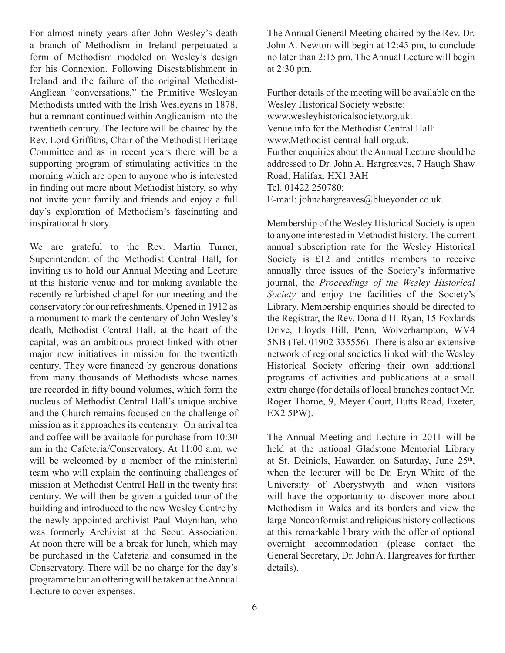For almost ninety years after John Wesley's death a branch of Methodism in Ireland perpetuated a form of Methodism modeled on Wesley's design for his Connexion. Following Disestablishment in Ireland and the failure of the original Methodist-Anglican "conversations," the Primitive Wesleyan Methodists united with the Irish Wesleyans in 1878, but a remnant continued within Anglicanism into the twentieth century. The lecture will be chaired by the Rev. Lord Griffiths, Chair of the Methodist Heritage Committee and as in recent years there will be a supporting program of stimulating activities in the morning which are open to anyone who is interested in finding out more about Methodist history, so why not invite your family and friends and enjoy a full day's exploration of Methodism's fascinating and inspirational history.

We are grateful to the Rev. Martin Turner, Superintendent of the Methodist Central Hall, for inviting us to hold our Annual Meeting and Lecture at this historic venue and for making available the recently refurbished chapel for our meeting and the conservatory for our refreshments. Opened in 1912 as a monument to mark the centenary of John Wesley's death, Methodist Central Hall, at the heart of the capital, was an ambitious project linked with other major new initiatives in mission for the twentieth century. They were financed by generous donations from many thousands of Methodists whose names are recorded in fifty bound volumes, which form the nucleus of Methodist Central Hall's unique archive and the Church remains focused on the challenge of mission as it approaches its centenary. On arrival tea and coffee will be available for purchase from 10:30 am in the Cafeteria/Conservatory. At 11:00 a.m. we will be welcomed by a member of the ministerial team who will explain the continuing challenges of mission at Methodist Central Hall in the twenty first century. We will then be given a guided tour of the building and introduced to the new Wesley Centre by the newly appointed archivist Paul Moynihan, who was formerly Archivist at the Scout Association. At noon there will be a break for lunch, which may be purchased in the Cafeteria and consumed in the Conservatory. There will be no charge for the day's programme but an offering will be taken at the Annual Lecture to cover expenses.

The Annual General Meeting chaired by the Rev. Dr. John A. Newton will begin at 12:45 pm, to conclude no later than 2:15 pm. The Annual Lecture will begin at 2:30 pm.

Further details of the meeting will be available on the Wesley Historical Society website: www.wesleyhistoricalsociety.org.uk. Venue info for the Methodist Central Hall: www.Methodist-central-hall.org.uk. Further enquiries about the Annual Lecture should be addressed to Dr. John A. Hargreaves, 7 Haugh Shaw Road, Halifax. HX1 3AH Tel. 01422 250780; E-mail: johnahargreaves@blueyonder.co.uk.

Membership of the Wesley Historical Society is open to anyone interested in Methodist history. The current annual subscription rate for the Wesley Historical Society is £12 and entitles members to receive annually three issues of the Society's informative journal, the *Proceedings of the Wesley Historical Society* and enjoy the facilities of the Society's Library. Membership enquiries should be directed to the Registrar, the Rev. Donald H. Ryan, 15 Foxlands Drive, Lloyds Hill, Penn, Wolverhampton, WV4 5NB (Tel. 01902 335556). There is also an extensive network of regional societies linked with the Wesley Historical Society offering their own additional programs of activities and publications at a small extra charge (for details of local branches contact Mr. Roger Thorne, 9, Meyer Court, Butts Road, Exeter, EX2 5PW).

The Annual Meeting and Lecture in 2011 will be held at the national Gladstone Memorial Library at St. Deiniols, Hawarden on Saturday, June 25<sup>th</sup>, when the lecturer will be Dr. Eryn White of the University of Aberystwyth and when visitors will have the opportunity to discover more about Methodism in Wales and its borders and view the large Nonconformist and religious history collections at this remarkable library with the offer of optional overnight accommodation (please contact the General Secretary, Dr. John A. Hargreaves for further details).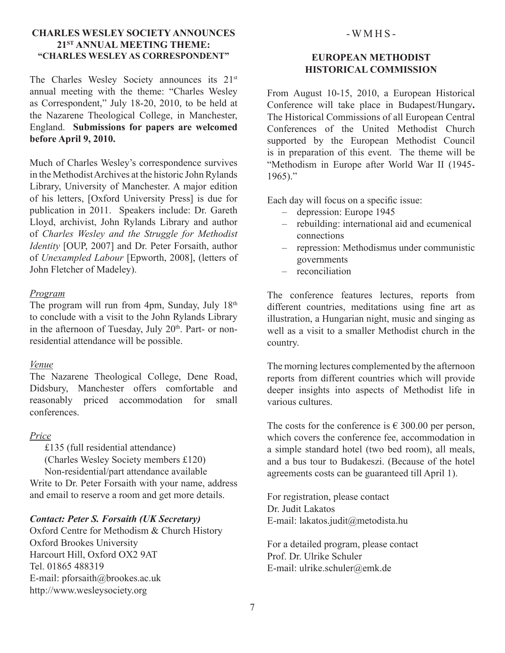# **Charles Wesley Society Announces 21st Annual Meeting THEME: "Charles Wesley as Correspondent"**

The Charles Wesley Society announces its 21<sup>st</sup> annual meeting with the theme: "Charles Wesley as Correspondent," July 18-20, 2010, to be held at the Nazarene Theological College, in Manchester, England. **Submissions for papers are welcomed before April 9, 2010.**

Much of Charles Wesley's correspondence survives in the Methodist Archives at the historic John Rylands Library, University of Manchester. A major edition of his letters, [Oxford University Press] is due for publication in 2011. Speakers include: Dr. Gareth Lloyd, archivist, John Rylands Library and author of *Charles Wesley and the Struggle for Methodist Identity* [OUP, 2007] and Dr. Peter Forsaith, author of *Unexampled Labour* [Epworth, 2008], (letters of John Fletcher of Madeley).

#### *Program*

The program will run from 4pm, Sunday, July  $18<sup>th</sup>$ to conclude with a visit to the John Rylands Library in the afternoon of Tuesday, July 20<sup>th</sup>. Part- or nonresidential attendance will be possible.

### *Venue*

The Nazarene Theological College, Dene Road, Didsbury, Manchester offers comfortable and reasonably priced accommodation for small conferences.

### *Price*

£135 (full residential attendance)

(Charles Wesley Society members £120) Non-residential/part attendance available

Write to Dr. Peter Forsaith with your name, address and email to reserve a room and get more details.

### *Contact: Peter S. Forsaith (UK Secretary)*

Oxford Centre for Methodism & Church History Oxford Brookes University Harcourt Hill, Oxford OX2 9AT Tel. 01865 488319 E-mail: pforsaith@brookes.ac.uk http://www.wesleysociety.org

#### $-WMHS-$

# **European Methodist Historical Commission**

From August 10-15, 2010, a European Historical Conference will take place in Budapest/Hungary**.**  The Historical Commissions of all European Central Conferences of the United Methodist Church supported by the European Methodist Council is in preparation of this event. The theme will be "Methodism in Europe after World War II (1945-  $1965$ )."

Each day will focus on a specific issue:

- depression: Europe 1945
- rebuilding: international aid and ecumenical connections
- repression: Methodismus under communistic governments
- reconciliation

The conference features lectures, reports from different countries, meditations using fine art as illustration, a Hungarian night, music and singing as well as a visit to a smaller Methodist church in the country.

The morning lectures complemented by the afternoon reports from different countries which will provide deeper insights into aspects of Methodist life in various cultures.

The costs for the conference is  $\epsilon$  300.00 per person, which covers the conference fee, accommodation in a simple standard hotel (two bed room), all meals, and a bus tour to Budakeszi. (Because of the hotel agreements costs can be guaranteed till April 1).

For registration, please contact Dr. Judit Lakatos E-mail: lakatos.judit@metodista.hu

For a detailed program, please contact Prof. Dr. Ulrike Schuler E-mail: ulrike.schuler@emk.de